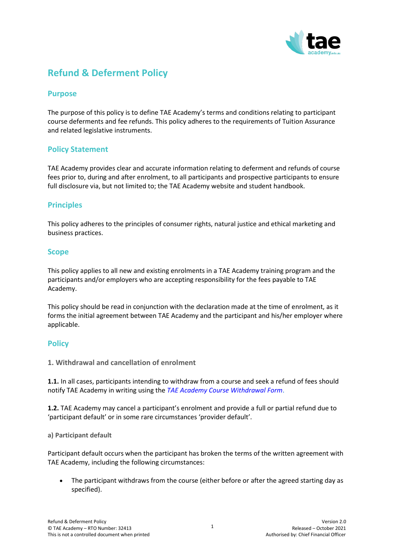

# **Refund & Deferment Policy**

# **Purpose**

The purpose of this policy is to define TAE Academy's terms and conditions relating to participant course deferments and fee refunds. This policy adheres to the requirements of Tuition Assurance and related legislative instruments.

# **Policy Statement**

TAE Academy provides clear and accurate information relating to deferment and refunds of course fees prior to, during and after enrolment, to all participants and prospective participants to ensure full disclosure via, but not limited to; the TAE Academy website and student handbook.

# **Principles**

This policy adheres to the principles of consumer rights, natural justice and ethical marketing and business practices.

## **Scope**

This policy applies to all new and existing enrolments in a TAE Academy training program and the participants and/or employers who are accepting responsibility for the fees payable to TAE Academy.

This policy should be read in conjunction with the declaration made at the time of enrolment, as it forms the initial agreement between TAE Academy and the participant and his/her employer where applicable.

# **Policy**

**1. Withdrawal and cancellation of enrolment**

**1.1.** In all cases, participants intending to withdraw from a course and seek a refund of fees should notify TAE Academy in writing using the *TAE Academy Course Withdrawal Form*.

**1.2.** TAE Academy may cancel a participant's enrolment and provide a full or partial refund due to 'participant default' or in some rare circumstances 'provider default'.

## **a) Participant default**

Participant default occurs when the participant has broken the terms of the written agreement with TAE Academy, including the following circumstances:

• The participant withdraws from the course (either before or after the agreed starting day as specified).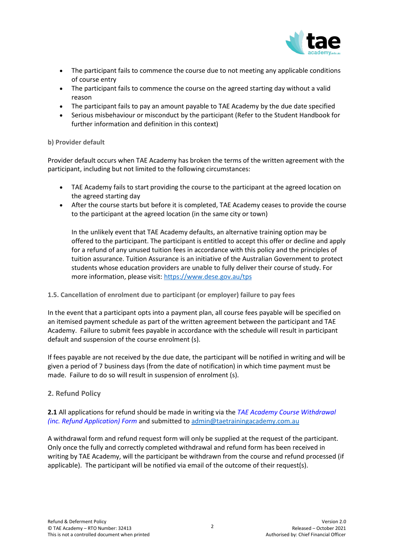

- The participant fails to commence the course due to not meeting any applicable conditions of course entry
- The participant fails to commence the course on the agreed starting day without a valid reason
- The participant fails to pay an amount payable to TAE Academy by the due date specified
- Serious misbehaviour or misconduct by the participant (Refer to the Student Handbook for further information and definition in this context)

#### **b) Provider default**

Provider default occurs when TAE Academy has broken the terms of the written agreement with the participant, including but not limited to the following circumstances:

- TAE Academy fails to start providing the course to the participant at the agreed location on the agreed starting day
- After the course starts but before it is completed, TAE Academy ceases to provide the course to the participant at the agreed location (in the same city or town)

In the unlikely event that TAE Academy defaults, an alternative training option may be offered to the participant. The participant is entitled to accept this offer or decline and apply for a refund of any unused tuition fees in accordance with this policy and the principles of tuition assurance. Tuition Assurance is an initiative of the Australian Government to protect students whose education providers are unable to fully deliver their course of study. For more information, please visit: <https://www.dese.gov.au/tps>

#### **1.5. Cancellation of enrolment due to participant (or employer) failure to pay fees**

In the event that a participant opts into a payment plan, all course fees payable will be specified on an itemised payment schedule as part of the written agreement between the participant and TAE Academy. Failure to submit fees payable in accordance with the schedule will result in participant default and suspension of the course enrolment (s).

If fees payable are not received by the due date, the participant will be notified in writing and will be given a period of 7 business days (from the date of notification) in which time payment must be made. Failure to do so will result in suspension of enrolment (s).

## **2. Refund Policy**

**2.1** All applications for refund should be made in writing via the *TAE Academy Course Withdrawal (inc. Refund Application) Form* and submitted to [admin@taetrainingacademy.com.au](mailto:admin@taetrainingacademy.com.au)

A withdrawal form and refund request form will only be supplied at the request of the participant. Only once the fully and correctly completed withdrawal and refund form has been received in writing by TAE Academy, will the participant be withdrawn from the course and refund processed (if applicable). The participant will be notified via email of the outcome of their request(s).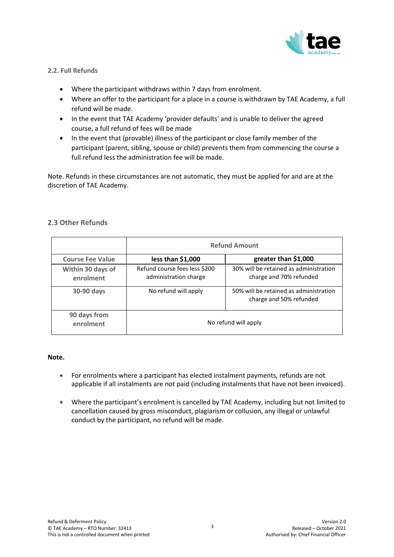

## **2.2. Full Refunds**

- Where the participant withdraws within 7 days from enrolment.
- Where an offer to the participant for a place in a course is withdrawn by TAE Academy, a full refund will be made.
- In the event that TAE Academy 'provider defaults' and is unable to deliver the agreed course, a full refund of fees will be made
- In the event that (provable) illness of the participant or close family member of the participant (parent, sibling, spouse or child) prevents them from commencing the course a full refund less the administration fee will be made.

Note. Refunds in these circumstances are not automatic, they must be applied for and are at the discretion of TAE Academy.

# **2.3 Other Refunds**

|                                | <b>Refund Amount</b>                                   |                                                                   |
|--------------------------------|--------------------------------------------------------|-------------------------------------------------------------------|
| <b>Course Fee Value</b>        | less than $$1,000$                                     | greater than \$1,000                                              |
| Within 30 days of<br>enrolment | Refund course fees less \$200<br>administration charge | 30% will be retained as administration<br>charge and 70% refunded |
| 30-90 days                     | No refund will apply                                   | 50% will be retained as administration<br>charge and 50% refunded |
| 90 days from<br>enrolment      | No refund will apply                                   |                                                                   |

#### **Note.**

- For enrolments where a participant has elected instalment payments, refunds are not applicable if all instalments are not paid (including instalments that have not been invoiced).
- Where the participant's enrolment is cancelled by TAE Academy, including but not limited to cancellation caused by gross misconduct, plagiarism or collusion, any illegal or unlawful conduct by the participant, no refund will be made.